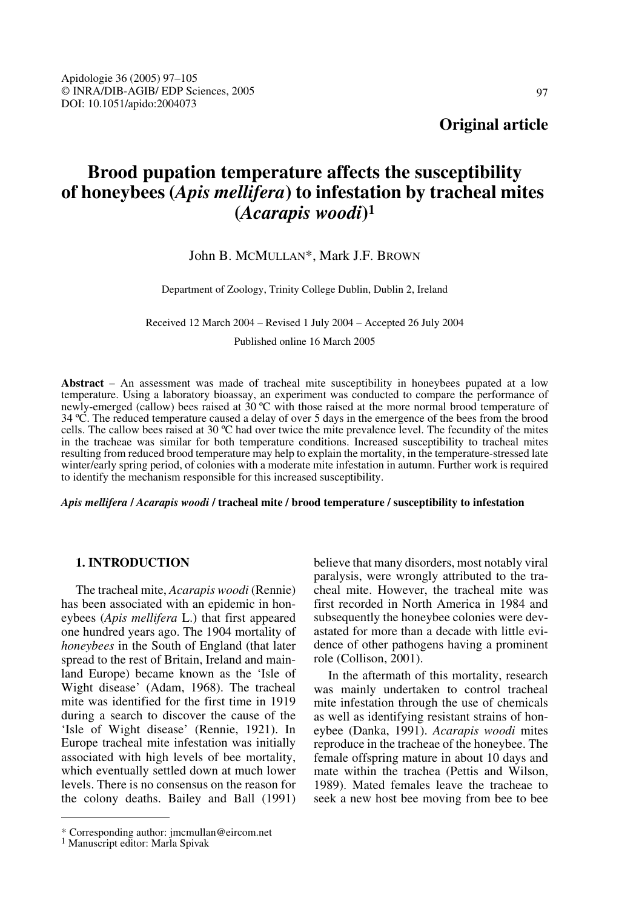# **Brood pupation temperature affects the susceptibility of honeybees (***Apis mellifera***) to infestation by tracheal mites (***Acarapis woodi***)1**

# John B. MCMULLAN\*, Mark J.F. BROWN

Department of Zoology, Trinity College Dublin, Dublin 2, Ireland

Received 12 March 2004 – Revised 1 July 2004 – Accepted 26 July 2004

Published online 16 March 2005

**Abstract** – An assessment was made of tracheal mite susceptibility in honeybees pupated at a low temperature. Using a laboratory bioassay, an experiment was conducted to compare the performance of newly-emerged (callow) bees raised at 30 ºC with those raised at the more normal brood temperature of 34 ºC. The reduced temperature caused a delay of over 5 days in the emergence of the bees from the brood cells. The callow bees raised at 30 ºC had over twice the mite prevalence level. The fecundity of the mites in the tracheae was similar for both temperature conditions. Increased susceptibility to tracheal mites resulting from reduced brood temperature may help to explain the mortality, in the temperature-stressed late winter/early spring period, of colonies with a moderate mite infestation in autumn. Further work is required to identify the mechanism responsible for this increased susceptibility.

*Apis mellifera* **/** *Acarapis woodi* **/ tracheal mite / brood temperature / susceptibility to infestation**

# **1. INTRODUCTION**

The tracheal mite, *Acarapis woodi* (Rennie) has been associated with an epidemic in honeybees (*Apis mellifera* L.) that first appeared one hundred years ago. The 1904 mortality of *honeybees* in the South of England (that later spread to the rest of Britain, Ireland and mainland Europe) became known as the 'Isle of Wight disease' (Adam, 1968). The tracheal mite was identified for the first time in 1919 during a search to discover the cause of the 'Isle of Wight disease' (Rennie, 1921). In Europe tracheal mite infestation was initially associated with high levels of bee mortality, which eventually settled down at much lower levels. There is no consensus on the reason for the colony deaths. Bailey and Ball (1991) believe that many disorders, most notably viral paralysis, were wrongly attributed to the tracheal mite. However, the tracheal mite was first recorded in North America in 1984 and subsequently the honeybee colonies were devastated for more than a decade with little evidence of other pathogens having a prominent role (Collison, 2001).

In the aftermath of this mortality, research was mainly undertaken to control tracheal mite infestation through the use of chemicals as well as identifying resistant strains of honeybee (Danka, 1991). *Acarapis woodi* mites reproduce in the tracheae of the honeybee. The female offspring mature in about 10 days and mate within the trachea (Pettis and Wilson, 1989). Mated females leave the tracheae to seek a new host bee moving from bee to bee

<sup>\*</sup> Corresponding author: jmcmullan@eircom.net

<sup>1</sup> Manuscript editor: Marla Spivak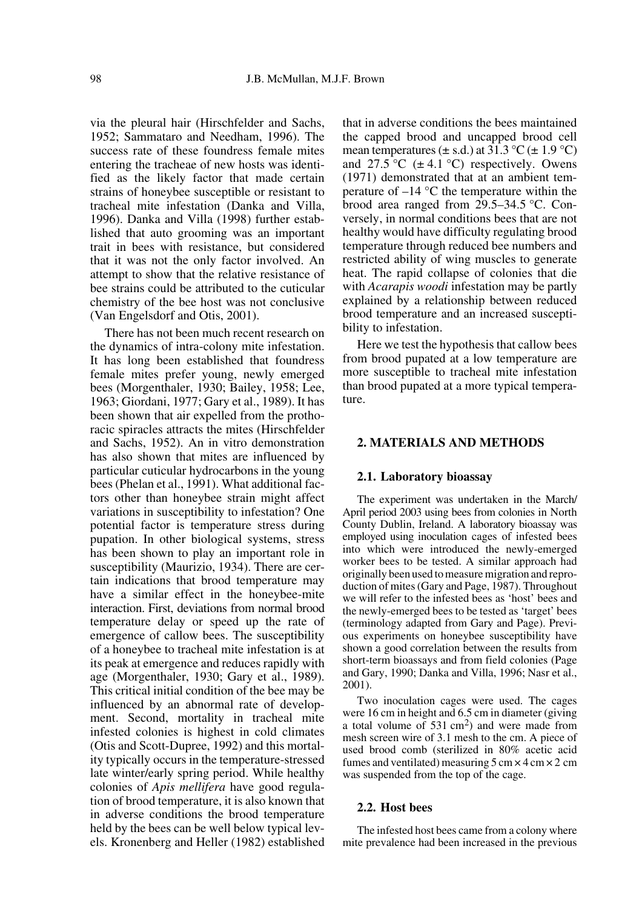via the pleural hair (Hirschfelder and Sachs, 1952; Sammataro and Needham, 1996). The success rate of these foundress female mites entering the tracheae of new hosts was identified as the likely factor that made certain strains of honeybee susceptible or resistant to tracheal mite infestation (Danka and Villa, 1996). Danka and Villa (1998) further established that auto grooming was an important trait in bees with resistance, but considered that it was not the only factor involved. An attempt to show that the relative resistance of bee strains could be attributed to the cuticular chemistry of the bee host was not conclusive (Van Engelsdorf and Otis, 2001).

There has not been much recent research on the dynamics of intra-colony mite infestation. It has long been established that foundress female mites prefer young, newly emerged bees (Morgenthaler, 1930; Bailey, 1958; Lee, 1963; Giordani, 1977; Gary et al., 1989). It has been shown that air expelled from the prothoracic spiracles attracts the mites (Hirschfelder and Sachs, 1952). An in vitro demonstration has also shown that mites are influenced by particular cuticular hydrocarbons in the young bees (Phelan et al., 1991). What additional factors other than honeybee strain might affect variations in susceptibility to infestation? One potential factor is temperature stress during pupation. In other biological systems, stress has been shown to play an important role in susceptibility (Maurizio, 1934). There are certain indications that brood temperature may have a similar effect in the honeybee-mite interaction. First, deviations from normal brood temperature delay or speed up the rate of emergence of callow bees. The susceptibility of a honeybee to tracheal mite infestation is at its peak at emergence and reduces rapidly with age (Morgenthaler, 1930; Gary et al., 1989). This critical initial condition of the bee may be influenced by an abnormal rate of development. Second, mortality in tracheal mite infested colonies is highest in cold climates (Otis and Scott-Dupree, 1992) and this mortality typically occurs in the temperature-stressed late winter/early spring period. While healthy colonies of *Apis mellifera* have good regulation of brood temperature, it is also known that in adverse conditions the brood temperature held by the bees can be well below typical levels. Kronenberg and Heller (1982) established that in adverse conditions the bees maintained the capped brood and uncapped brood cell mean temperatures  $(\pm s.d.)$  at 31.3 °C  $(\pm 1.9$  °C) and 27.5 °C  $(\pm 4.1 \degree C)$  respectively. Owens (1971) demonstrated that at an ambient temperature of  $-14 \degree C$  the temperature within the brood area ranged from 29.5–34.5 °C. Conversely, in normal conditions bees that are not healthy would have difficulty regulating brood temperature through reduced bee numbers and restricted ability of wing muscles to generate heat. The rapid collapse of colonies that die with *Acarapis woodi* infestation may be partly explained by a relationship between reduced brood temperature and an increased susceptibility to infestation.

Here we test the hypothesis that callow bees from brood pupated at a low temperature are more susceptible to tracheal mite infestation than brood pupated at a more typical temperature.

# **2. MATERIALS AND METHODS**

### **2.1. Laboratory bioassay**

The experiment was undertaken in the March/ April period 2003 using bees from colonies in North County Dublin, Ireland. A laboratory bioassay was employed using inoculation cages of infested bees into which were introduced the newly-emerged worker bees to be tested. A similar approach had originally been used to measure migration and reproduction of mites (Gary and Page, 1987). Throughout we will refer to the infested bees as 'host' bees and the newly-emerged bees to be tested as 'target' bees (terminology adapted from Gary and Page). Previous experiments on honeybee susceptibility have shown a good correlation between the results from short-term bioassays and from field colonies (Page and Gary, 1990; Danka and Villa, 1996; Nasr et al., 2001).

Two inoculation cages were used. The cages were 16 cm in height and 6.5 cm in diameter (giving a total volume of  $531 \text{ cm}^2$ ) and were made from mesh screen wire of 3.1 mesh to the cm. A piece of used brood comb (sterilized in 80% acetic acid fumes and ventilated) measuring  $5 \text{ cm} \times 4 \text{ cm} \times 2 \text{ cm}$ was suspended from the top of the cage.

# **2.2. Host bees**

The infested host bees came from a colony where mite prevalence had been increased in the previous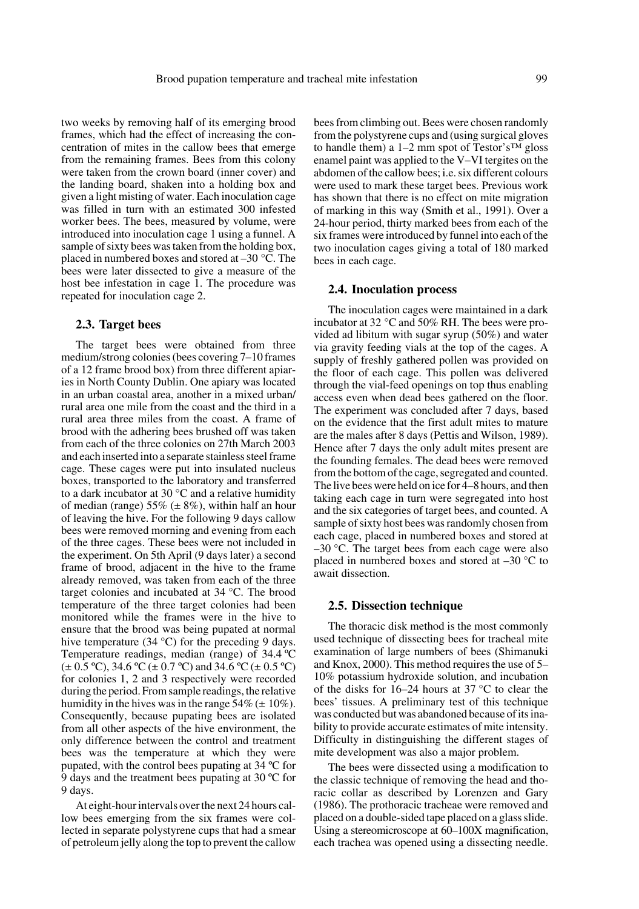two weeks by removing half of its emerging brood frames, which had the effect of increasing the concentration of mites in the callow bees that emerge from the remaining frames. Bees from this colony were taken from the crown board (inner cover) and the landing board, shaken into a holding box and given a light misting of water. Each inoculation cage was filled in turn with an estimated 300 infested worker bees. The bees, measured by volume, were introduced into inoculation cage 1 using a funnel. A sample of sixty bees was taken from the holding box, placed in numbered boxes and stored at –30 °C. The bees were later dissected to give a measure of the host bee infestation in cage 1. The procedure was repeated for inoculation cage 2.

# **2.3. Target bees**

The target bees were obtained from three medium/strong colonies (bees covering 7–10 frames of a 12 frame brood box) from three different apiaries in North County Dublin. One apiary was located in an urban coastal area, another in a mixed urban/ rural area one mile from the coast and the third in a rural area three miles from the coast. A frame of brood with the adhering bees brushed off was taken from each of the three colonies on 27th March 2003 and each inserted into a separate stainless steel frame cage. These cages were put into insulated nucleus boxes, transported to the laboratory and transferred to a dark incubator at 30 °C and a relative humidity of median (range)  $55\%$  ( $\pm 8\%$ ), within half an hour of leaving the hive. For the following 9 days callow bees were removed morning and evening from each of the three cages. These bees were not included in the experiment. On 5th April (9 days later) a second frame of brood, adjacent in the hive to the frame already removed, was taken from each of the three target colonies and incubated at 34 °C. The brood temperature of the three target colonies had been monitored while the frames were in the hive to ensure that the brood was being pupated at normal hive temperature (34 °C) for the preceding 9 days. Temperature readings, median (range) of 34.4 ºC  $(\pm 0.5 \text{ °C})$ , 34.6 °C ( $\pm 0.7 \text{ °C}$ ) and 34.6 °C ( $\pm 0.5 \text{ °C}$ ) for colonies 1, 2 and 3 respectively were recorded during the period. From sample readings, the relative humidity in the hives was in the range  $54\%$  ( $\pm 10\%$ ). Consequently, because pupating bees are isolated from all other aspects of the hive environment, the only difference between the control and treatment bees was the temperature at which they were pupated, with the control bees pupating at 34 ºC for 9 days and the treatment bees pupating at 30 ºC for 9 days.

At eight-hour intervals over the next 24 hours callow bees emerging from the six frames were collected in separate polystyrene cups that had a smear of petroleum jelly along the top to prevent the callow

bees from climbing out. Bees were chosen randomly from the polystyrene cups and (using surgical gloves to handle them) a  $1-2$  mm spot of Testor's<sup>™</sup> gloss enamel paint was applied to the V–VI tergites on the abdomen of the callow bees; i.e. six different colours were used to mark these target bees. Previous work has shown that there is no effect on mite migration of marking in this way (Smith et al., 1991). Over a 24-hour period, thirty marked bees from each of the six frames were introduced by funnel into each of the two inoculation cages giving a total of 180 marked bees in each cage.

## **2.4. Inoculation process**

The inoculation cages were maintained in a dark incubator at 32 °C and 50% RH. The bees were provided ad libitum with sugar syrup (50%) and water via gravity feeding vials at the top of the cages. A supply of freshly gathered pollen was provided on the floor of each cage. This pollen was delivered through the vial-feed openings on top thus enabling access even when dead bees gathered on the floor. The experiment was concluded after 7 days, based on the evidence that the first adult mites to mature are the males after 8 days (Pettis and Wilson, 1989). Hence after 7 days the only adult mites present are the founding females. The dead bees were removed from the bottom of the cage, segregated and counted. The live bees were held on ice for 4–8 hours, and then taking each cage in turn were segregated into host and the six categories of target bees, and counted. A sample of sixty host bees was randomly chosen from each cage, placed in numbered boxes and stored at –30 °C. The target bees from each cage were also placed in numbered boxes and stored at –30 °C to await dissection.

# **2.5. Dissection technique**

The thoracic disk method is the most commonly used technique of dissecting bees for tracheal mite examination of large numbers of bees (Shimanuki and Knox, 2000). This method requires the use of 5– 10% potassium hydroxide solution, and incubation of the disks for 16–24 hours at 37 °C to clear the bees' tissues. A preliminary test of this technique was conducted but was abandoned because of its inability to provide accurate estimates of mite intensity. Difficulty in distinguishing the different stages of mite development was also a major problem.

The bees were dissected using a modification to the classic technique of removing the head and thoracic collar as described by Lorenzen and Gary (1986). The prothoracic tracheae were removed and placed on a double-sided tape placed on a glass slide. Using a stereomicroscope at 60–100X magnification, each trachea was opened using a dissecting needle.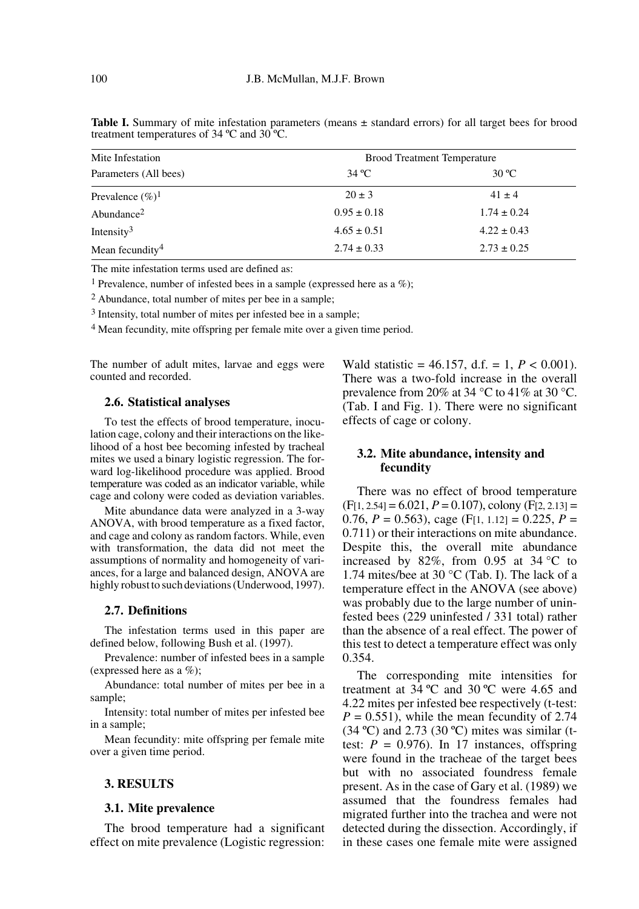Table I. Summary of mite infestation parameters (means  $\pm$  standard errors) for all target bees for brood treatment temperatures of 34 ºC and 30 ºC.

| Mite Infestation               | <b>Brood Treatment Temperature</b> |                 |  |  |
|--------------------------------|------------------------------------|-----------------|--|--|
| Parameters (All bees)          | $34^{\circ}$ C                     | $30^{\circ}$ C  |  |  |
| Prevalence $(\%)$ <sup>1</sup> | $20 \pm 3$                         | $41 \pm 4$      |  |  |
| Abundance <sup>2</sup>         | $0.95 \pm 0.18$                    | $1.74 \pm 0.24$ |  |  |
| Intensity <sup>3</sup>         | $4.65 \pm 0.51$                    | $4.22 \pm 0.43$ |  |  |
| Mean fecundity <sup>4</sup>    | $2.74 \pm 0.33$                    | $2.73 \pm 0.25$ |  |  |

The mite infestation terms used are defined as:

<sup>1</sup> Prevalence, number of infested bees in a sample (expressed here as a %);

2 Abundance, total number of mites per bee in a sample;

3 Intensity, total number of mites per infested bee in a sample;

4 Mean fecundity, mite offspring per female mite over a given time period.

The number of adult mites, larvae and eggs were counted and recorded.

## **2.6. Statistical analyses**

To test the effects of brood temperature, inoculation cage, colony and their interactions on the likelihood of a host bee becoming infested by tracheal mites we used a binary logistic regression. The forward log-likelihood procedure was applied. Brood temperature was coded as an indicator variable, while cage and colony were coded as deviation variables.

Mite abundance data were analyzed in a 3-way ANOVA, with brood temperature as a fixed factor, and cage and colony as random factors. While, even with transformation, the data did not meet the assumptions of normality and homogeneity of variances, for a large and balanced design, ANOVA are highly robust to such deviations (Underwood, 1997).

## **2.7. Definitions**

The infestation terms used in this paper are defined below, following Bush et al. (1997).

Prevalence: number of infested bees in a sample (expressed here as a  $\%$ );

Abundance: total number of mites per bee in a sample;

Intensity: total number of mites per infested bee in a sample;

Mean fecundity: mite offspring per female mite over a given time period.

# **3. RESULTS**

#### **3.1. Mite prevalence**

The brood temperature had a significant effect on mite prevalence (Logistic regression:

Wald statistic = 46.157, d.f. = 1,  $P < 0.001$ ). There was a two-fold increase in the overall prevalence from 20% at 34 °C to 41% at 30 °C. (Tab. I and Fig. 1). There were no significant effects of cage or colony.

# **3.2. Mite abundance, intensity and fecundity**

There was no effect of brood temperature  $(F[1, 2.54] = 6.021, P = 0.107)$ , colony  $(F[2, 2.13] =$ 0.76,  $P = 0.563$ , cage (F[1, 1.12] = 0.225,  $P =$ 0.711) or their interactions on mite abundance. Despite this, the overall mite abundance increased by 82%, from 0.95 at 34  $^{\circ}$ C to 1.74 mites/bee at 30 °C (Tab. I). The lack of a temperature effect in the ANOVA (see above) was probably due to the large number of uninfested bees (229 uninfested / 331 total) rather than the absence of a real effect. The power of this test to detect a temperature effect was only 0.354.

The corresponding mite intensities for treatment at  $34^{\circ}$ C and  $30^{\circ}$ C were 4.65 and 4.22 mites per infested bee respectively (t-test:  $P = 0.551$ , while the mean fecundity of 2.74  $(34 °C)$  and 2.73  $(30 °C)$  mites was similar (ttest:  $P = 0.976$ . In 17 instances, offspring were found in the tracheae of the target bees but with no associated foundress female present. As in the case of Gary et al. (1989) we assumed that the foundress females had migrated further into the trachea and were not detected during the dissection. Accordingly, if in these cases one female mite were assigned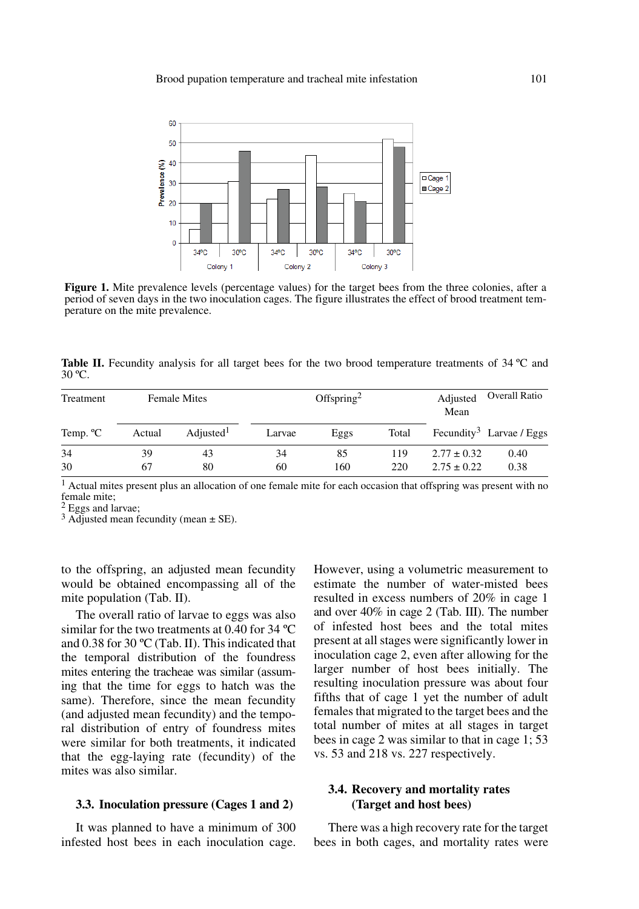

**Figure 1.** Mite prevalence levels (percentage values) for the target bees from the three colonies, after a period of seven days in the two inoculation cages. The figure illustrates the effect of brood treatment temperature on the mite prevalence.

**Table II.** Fecundity analysis for all target bees for the two brood temperature treatments of 34 °C and 30 ºC.

| Treatment<br><b>Female Mites</b> |        |                       | Offspring <sup>2</sup> |      |       | Adjusted<br>Mean | Overall Ratio                        |
|----------------------------------|--------|-----------------------|------------------------|------|-------|------------------|--------------------------------------|
| Temp. <sup>o</sup> C             | Actual | Adiusted <sup>1</sup> | Larvae                 | Eggs | Total |                  | Fecundity <sup>3</sup> Larvae / Eggs |
| 34                               | 39     | 43                    | 34                     | 85   | 119   | $2.77 \pm 0.32$  | 0.40                                 |
| 30                               | 67     | 80                    | 60                     | 160  | 220   | $2.75 \pm 0.22$  | 0.38                                 |

 $<sup>1</sup>$  Actual mites present plus an allocation of one female mite for each occasion that offspring was present with no</sup> female mite;

<sup>2</sup> Eggs and larvae;

 $3$  Adjusted mean fecundity (mean  $\pm$  SE).

to the offspring, an adjusted mean fecundity would be obtained encompassing all of the mite population (Tab. II).

The overall ratio of larvae to eggs was also similar for the two treatments at 0.40 for 34 ºC and 0.38 for 30 ºC (Tab. II). This indicated that the temporal distribution of the foundress mites entering the tracheae was similar (assuming that the time for eggs to hatch was the same). Therefore, since the mean fecundity (and adjusted mean fecundity) and the temporal distribution of entry of foundress mites were similar for both treatments, it indicated that the egg-laying rate (fecundity) of the mites was also similar.

#### **3.3. Inoculation pressure (Cages 1 and 2)**

It was planned to have a minimum of 300 infested host bees in each inoculation cage. However, using a volumetric measurement to estimate the number of water-misted bees resulted in excess numbers of 20% in cage 1 and over 40% in cage 2 (Tab. III). The number of infested host bees and the total mites present at all stages were significantly lower in inoculation cage 2, even after allowing for the larger number of host bees initially. The resulting inoculation pressure was about four fifths that of cage 1 yet the number of adult females that migrated to the target bees and the total number of mites at all stages in target bees in cage 2 was similar to that in cage 1; 53 vs. 53 and 218 vs. 227 respectively.

# **3.4. Recovery and mortality rates (Target and host bees)**

There was a high recovery rate for the target bees in both cages, and mortality rates were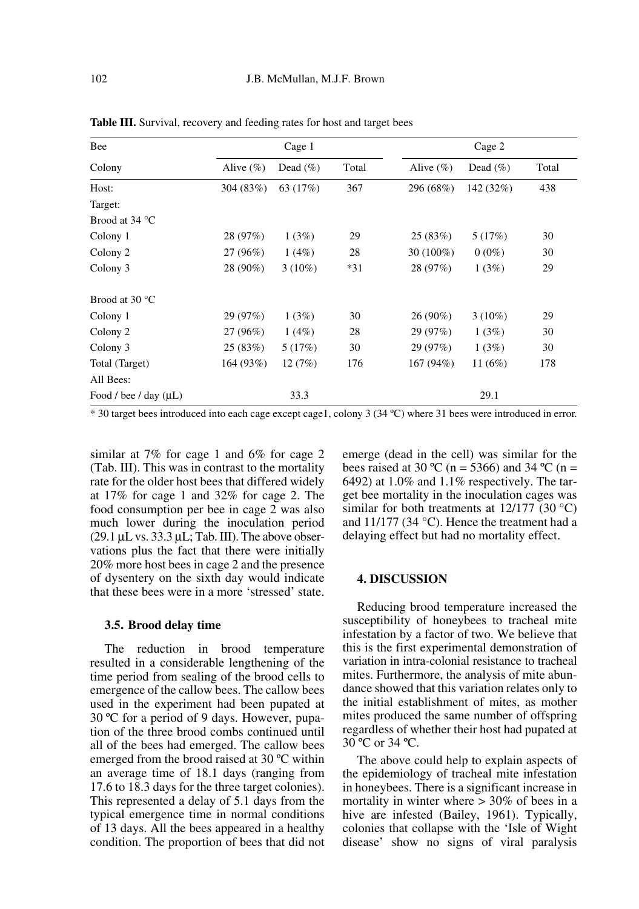| Bee                        |              | Cage 1       |       | Cage 2       |              |       |
|----------------------------|--------------|--------------|-------|--------------|--------------|-------|
| Colony                     | Alive $(\%)$ | Dead $(\% )$ | Total | Alive $(\%)$ | Dead $(\% )$ | Total |
| Host:                      | 304 (83%)    | 63 (17%)     | 367   | 296 (68%)    | 142 (32%)    | 438   |
| Target:                    |              |              |       |              |              |       |
| Brood at $34^{\circ}$ C    |              |              |       |              |              |       |
| Colony 1                   | 28 (97%)     | 1(3%)        | 29    | 25(83%)      | 5(17%)       | 30    |
| Colony <sub>2</sub>        | 27 (96%)     | 1(4%)        | 28    | 30 (100%)    | $0(0\%)$     | 30    |
| Colony 3                   | 28 (90%)     | $3(10\%)$    | $*31$ | 28 (97%)     | 1(3%)        | 29    |
| Brood at $30^{\circ}$ C    |              |              |       |              |              |       |
| Colony 1                   | 29 (97%)     | 1(3%)        | 30    | $26(90\%)$   | $3(10\%)$    | 29    |
| Colony <sub>2</sub>        | 27 (96%)     | 1(4%)        | 28    | 29 (97%)     | 1(3%)        | 30    |
| Colony 3                   | 25(83%)      | 5(17%)       | 30    | 29 (97%)     | 1(3%)        | 30    |
| Total (Target)             | 164 (93%)    | 12(7%)       | 176   | 167 (94%)    | 11 $(6%)$    | 178   |
| All Bees:                  |              |              |       |              |              |       |
| Food / bee / day $(\mu L)$ |              | 33.3         |       |              | 29.1         |       |

**Table III.** Survival, recovery and feeding rates for host and target bees

\* 30 target bees introduced into each cage except cage1, colony 3 (34 ºC) where 31 bees were introduced in error.

similar at 7% for cage 1 and 6% for cage 2 (Tab. III). This was in contrast to the mortality rate for the older host bees that differed widely at 17% for cage 1 and 32% for cage 2. The food consumption per bee in cage 2 was also much lower during the inoculation period  $(29.1 \,\mu L \text{ vs. } 33.3 \,\mu L; \text{Tab. III})$ . The above observations plus the fact that there were initially 20% more host bees in cage 2 and the presence of dysentery on the sixth day would indicate that these bees were in a more 'stressed' state.

# **3.5. Brood delay time**

The reduction in brood temperature resulted in a considerable lengthening of the time period from sealing of the brood cells to emergence of the callow bees. The callow bees used in the experiment had been pupated at 30 ºC for a period of 9 days. However, pupation of the three brood combs continued until all of the bees had emerged. The callow bees emerged from the brood raised at 30 ºC within an average time of 18.1 days (ranging from 17.6 to 18.3 days for the three target colonies). This represented a delay of 5.1 days from the typical emergence time in normal conditions of 13 days. All the bees appeared in a healthy condition. The proportion of bees that did not

emerge (dead in the cell) was similar for the bees raised at 30 °C (n = 5366) and 34 °C (n = 6492) at 1.0% and 1.1% respectively. The target bee mortality in the inoculation cages was similar for both treatments at  $12/177$  (30 °C) and  $11/177$  (34 °C). Hence the treatment had a delaying effect but had no mortality effect.

# **4. DISCUSSION**

Reducing brood temperature increased the susceptibility of honeybees to tracheal mite infestation by a factor of two. We believe that this is the first experimental demonstration of variation in intra-colonial resistance to tracheal mites. Furthermore, the analysis of mite abundance showed that this variation relates only to the initial establishment of mites, as mother mites produced the same number of offspring regardless of whether their host had pupated at 30 ºC or 34 ºC.

The above could help to explain aspects of the epidemiology of tracheal mite infestation in honeybees. There is a significant increase in mortality in winter where > 30% of bees in a hive are infested (Bailey, 1961). Typically, colonies that collapse with the 'Isle of Wight disease' show no signs of viral paralysis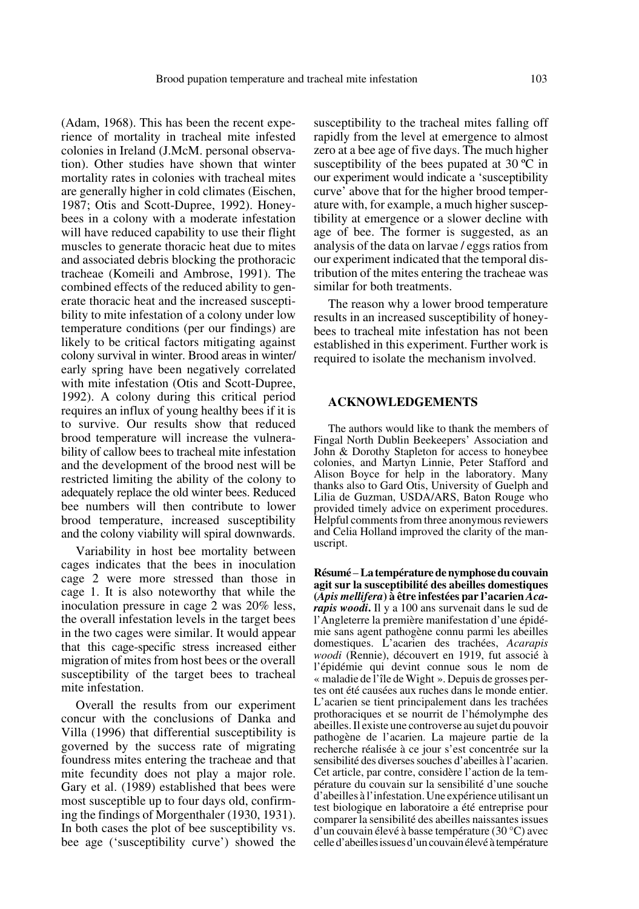(Adam, 1968). This has been the recent experience of mortality in tracheal mite infested colonies in Ireland (J.McM. personal observation). Other studies have shown that winter mortality rates in colonies with tracheal mites are generally higher in cold climates (Eischen, 1987; Otis and Scott-Dupree, 1992). Honeybees in a colony with a moderate infestation will have reduced capability to use their flight muscles to generate thoracic heat due to mites and associated debris blocking the prothoracic tracheae (Komeili and Ambrose, 1991). The combined effects of the reduced ability to generate thoracic heat and the increased susceptibility to mite infestation of a colony under low temperature conditions (per our findings) are likely to be critical factors mitigating against colony survival in winter. Brood areas in winter/ early spring have been negatively correlated with mite infestation (Otis and Scott-Dupree, 1992). A colony during this critical period requires an influx of young healthy bees if it is to survive. Our results show that reduced brood temperature will increase the vulnerability of callow bees to tracheal mite infestation and the development of the brood nest will be restricted limiting the ability of the colony to adequately replace the old winter bees. Reduced bee numbers will then contribute to lower brood temperature, increased susceptibility and the colony viability will spiral downwards.

Variability in host bee mortality between cages indicates that the bees in inoculation cage 2 were more stressed than those in cage 1. It is also noteworthy that while the inoculation pressure in cage 2 was 20% less, the overall infestation levels in the target bees in the two cages were similar. It would appear that this cage-specific stress increased either migration of mites from host bees or the overall susceptibility of the target bees to tracheal mite infestation.

Overall the results from our experiment concur with the conclusions of Danka and Villa (1996) that differential susceptibility is governed by the success rate of migrating foundress mites entering the tracheae and that mite fecundity does not play a major role. Gary et al. (1989) established that bees were most susceptible up to four days old, confirming the findings of Morgenthaler (1930, 1931). In both cases the plot of bee susceptibility vs. bee age ('susceptibility curve') showed the susceptibility to the tracheal mites falling off rapidly from the level at emergence to almost zero at a bee age of five days. The much higher susceptibility of the bees pupated at 30 ºC in our experiment would indicate a 'susceptibility curve' above that for the higher brood temperature with, for example, a much higher susceptibility at emergence or a slower decline with age of bee. The former is suggested, as an analysis of the data on larvae / eggs ratios from our experiment indicated that the temporal distribution of the mites entering the tracheae was similar for both treatments.

The reason why a lower brood temperature results in an increased susceptibility of honeybees to tracheal mite infestation has not been established in this experiment. Further work is required to isolate the mechanism involved.

## **ACKNOWLEDGEMENTS**

The authors would like to thank the members of Fingal North Dublin Beekeepers' Association and John & Dorothy Stapleton for access to honeybee colonies, and Martyn Linnie, Peter Stafford and Alison Boyce for help in the laboratory. Many thanks also to Gard Otis, University of Guelph and Lilia de Guzman, USDA/ARS, Baton Rouge who provided timely advice on experiment procedures. Helpful comments from three anonymous reviewers and Celia Holland improved the clarity of the manuscript.

**Résumé** – **La température de nymphose du couvain agit sur la susceptibilité des abeilles domestiques (***Apis mellifera***) à être infestées par l'acarien** *Acarapis woodi***.** Il y a 100 ans survenait dans le sud de l'Angleterre la première manifestation d'une épidémie sans agent pathogène connu parmi les abeilles domestiques. L'acarien des trachées, *Acarapis woodi* (Rennie), découvert en 1919, fut associé à l'épidémie qui devint connue sous le nom de « maladie de l'île de Wight ». Depuis de grosses pertes ont été causées aux ruches dans le monde entier. L'acarien se tient principalement dans les trachées prothoraciques et se nourrit de l'hémolymphe des abeilles. Il existe une controverse au sujet du pouvoir pathogène de l'acarien. La majeure partie de la recherche réalisée à ce jour s'est concentrée sur la sensibilité des diverses souches d'abeilles à l'acarien. Cet article, par contre, considère l'action de la température du couvain sur la sensibilité d'une souche d'abeilles à l'infestation. Une expérience utilisant un test biologique en laboratoire a été entreprise pour comparer la sensibilité des abeilles naissantes issues d'un couvain élevé à basse température (30 °C) avec celle d'abeilles issues d'un couvain élevé à température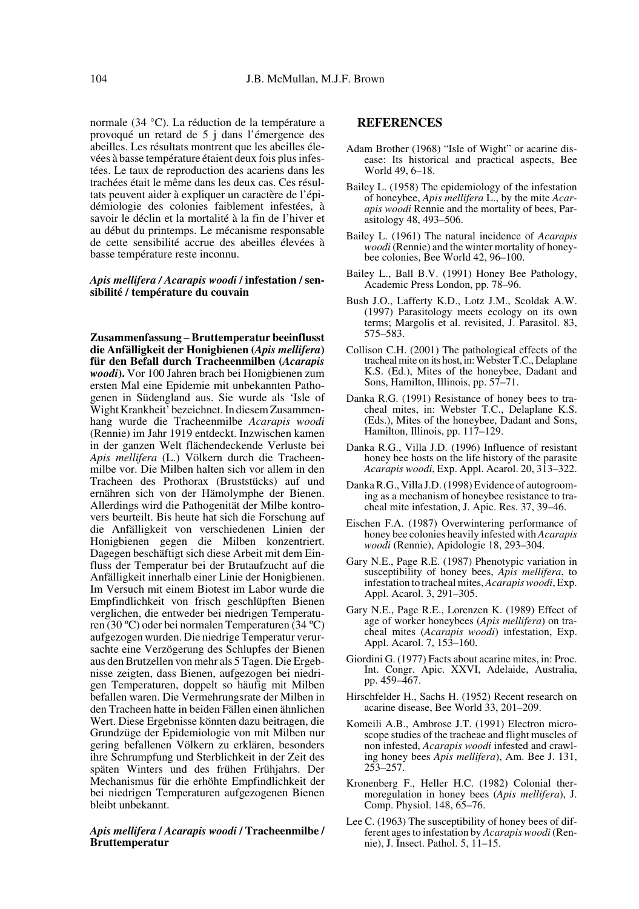normale (34 °C). La réduction de la température a provoqué un retard de 5 j dans l'émergence des abeilles. Les résultats montrent que les abeilles élevées à basse température étaient deux fois plus infestées. Le taux de reproduction des acariens dans les trachées était le même dans les deux cas. Ces résultats peuvent aider à expliquer un caractère de l'épidémiologie des colonies faiblement infestées, à savoir le déclin et la mortalité à la fin de l'hiver et au début du printemps. Le mécanisme responsable de cette sensibilité accrue des abeilles élevées à basse température reste inconnu.

#### *Apis mellifera / Acarapis woodi* **/ infestation / sensibilité / température du couvain**

**Zusammenfassung** – **Bruttemperatur beeinflusst die Anfälligkeit der Honigbienen (***Apis mellifera***) für den Befall durch Tracheenmilben (***Acarapis woodi***).** Vor 100 Jahren brach bei Honigbienen zum ersten Mal eine Epidemie mit unbekannten Pathogenen in Südengland aus. Sie wurde als 'Isle of Wight Krankheit' bezeichnet. In diesem Zusammenhang wurde die Tracheenmilbe *Acarapis woodi* (Rennie) im Jahr 1919 entdeckt. Inzwischen kamen in der ganzen Welt flächendeckende Verluste bei *Apis mellifera* (L.) Völkern durch die Tracheenmilbe vor. Die Milben halten sich vor allem in den Tracheen des Prothorax (Bruststücks) auf und ernähren sich von der Hämolymphe der Bienen. Allerdings wird die Pathogenität der Milbe kontrovers beurteilt. Bis heute hat sich die Forschung auf die Anfälligkeit von verschiedenen Linien der Honigbienen gegen die Milben konzentriert. Dagegen beschäftigt sich diese Arbeit mit dem Einfluss der Temperatur bei der Brutaufzucht auf die Anfälligkeit innerhalb einer Linie der Honigbienen. Im Versuch mit einem Biotest im Labor wurde die Empfindlichkeit von frisch geschlüpften Bienen verglichen, die entweder bei niedrigen Temperaturen (30 ºC) oder bei normalen Temperaturen (34 ºC) aufgezogen wurden. Die niedrige Temperatur verursachte eine Verzögerung des Schlupfes der Bienen aus den Brutzellen von mehr als 5 Tagen. Die Ergebnisse zeigten, dass Bienen, aufgezogen bei niedrigen Temperaturen, doppelt so häufig mit Milben befallen waren. Die Vermehrungsrate der Milben in den Tracheen hatte in beiden Fällen einen ähnlichen Wert. Diese Ergebnisse könnten dazu beitragen, die Grundzüge der Epidemiologie von mit Milben nur gering befallenen Völkern zu erklären, besonders ihre Schrumpfung und Sterblichkeit in der Zeit des späten Winters und des frühen Frühjahrs. Der Mechanismus für die erhöhte Empfindlichkeit der bei niedrigen Temperaturen aufgezogenen Bienen bleibt unbekannt.

### *Apis mellifera* **/** *Acarapis woodi* **/ Tracheenmilbe / Bruttemperatur**

#### **REFERENCES**

- Adam Brother (1968) "Isle of Wight" or acarine disease: Its historical and practical aspects, Bee World 49, 6–18.
- Bailey L. (1958) The epidemiology of the infestation of honeybee, *Apis mellifera* L., by the mite *Acarapis woodi* Rennie and the mortality of bees, Parasitology 48, 493–506.
- Bailey L. (1961) The natural incidence of *Acarapis woodi* (Rennie) and the winter mortality of honeybee colonies, Bee World 42, 96–100.
- Bailey L., Ball B.V. (1991) Honey Bee Pathology, Academic Press London, pp. 78–96.
- Bush J.O., Lafferty K.D., Lotz J.M., Scoldak A.W. (1997) Parasitology meets ecology on its own terms; Margolis et al. revisited, J. Parasitol. 83, 575–583.
- Collison C.H. (2001) The pathological effects of the tracheal mite on its host, in: Webster T.C., Delaplane K.S. (Ed.), Mites of the honeybee, Dadant and Sons, Hamilton, Illinois, pp. 57–71.
- Danka R.G. (1991) Resistance of honey bees to tracheal mites, in: Webster T.C., Delaplane K.S. (Eds.), Mites of the honeybee, Dadant and Sons, Hamilton, Illinois, pp. 117–129.
- Danka R.G., Villa J.D. (1996) Influence of resistant honey bee hosts on the life history of the parasite *Acarapis woodi*, Exp. Appl. Acarol. 20, 313–322.
- Danka R.G., Villa J.D. (1998) Evidence of autogrooming as a mechanism of honeybee resistance to tracheal mite infestation, J. Apic. Res. 37, 39–46.
- Eischen F.A. (1987) Overwintering performance of honey bee colonies heavily infested with *Acarapis woodi* (Rennie), Apidologie 18, 293–304.
- Gary N.E., Page R.E. (1987) Phenotypic variation in susceptibility of honey bees, *Apis mellifera*, to infestation to tracheal mites, *Acarapis woodi*, Exp. Appl. Acarol. 3, 291–305.
- Gary N.E., Page R.E., Lorenzen K. (1989) Effect of age of worker honeybees (*Apis mellifera*) on tracheal mites (*Acarapis woodi*) infestation, Exp. Appl. Acarol. 7, 153–160.
- Giordini G. (1977) Facts about acarine mites, in: Proc. Int. Congr. Apic. XXVI, Adelaide, Australia, pp. 459–467.
- Hirschfelder H., Sachs H. (1952) Recent research on acarine disease, Bee World 33, 201–209.
- Komeili A.B., Ambrose J.T. (1991) Electron microscope studies of the tracheae and flight muscles of non infested, *Acarapis woodi* infested and crawling honey bees *Apis mellifera*), Am. Bee J. 131, 253–257.
- Kronenberg F., Heller H.C. (1982) Colonial thermoregulation in honey bees (*Apis mellifera*), J. Comp. Physiol. 148, 65–76.
- Lee C. (1963) The susceptibility of honey bees of different ages to infestation by *Acarapis woodi* (Rennie), J. Insect. Pathol. 5, 11–15.